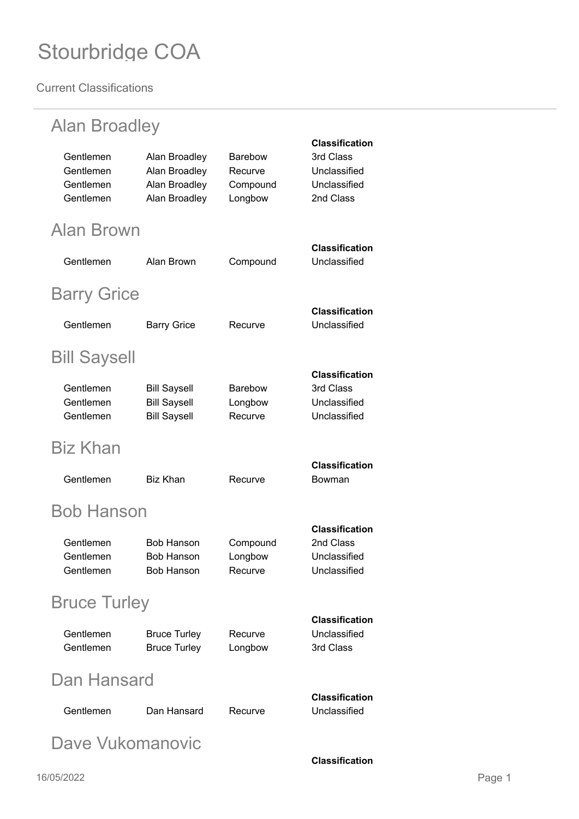| <b>Alan Broadley</b>                             |                                                                   |                                           |                                                                                 |
|--------------------------------------------------|-------------------------------------------------------------------|-------------------------------------------|---------------------------------------------------------------------------------|
| Gentlemen<br>Gentlemen<br>Gentlemen<br>Gentlemen | Alan Broadley<br>Alan Broadley<br>Alan Broadley<br>Alan Broadley  | Barebow<br>Recurve<br>Compound<br>Longbow | <b>Classification</b><br>3rd Class<br>Unclassified<br>Unclassified<br>2nd Class |
| Alan Brown                                       |                                                                   |                                           |                                                                                 |
| Gentlemen                                        | Alan Brown                                                        | Compound                                  | <b>Classification</b><br>Unclassified                                           |
| <b>Barry Grice</b>                               |                                                                   |                                           |                                                                                 |
| Gentlemen                                        | <b>Barry Grice</b>                                                | Recurve                                   | <b>Classification</b><br>Unclassified                                           |
| <b>Bill Saysell</b>                              |                                                                   |                                           |                                                                                 |
| Gentlemen<br>Gentlemen<br>Gentlemen              | <b>Bill Saysell</b><br><b>Bill Saysell</b><br><b>Bill Saysell</b> | <b>Barebow</b><br>Longbow<br>Recurve      | <b>Classification</b><br>3rd Class<br>Unclassified<br>Unclassified              |
| <b>Biz Khan</b>                                  |                                                                   |                                           |                                                                                 |
| Gentlemen                                        | Biz Khan                                                          | Recurve                                   | <b>Classification</b><br>Bowman                                                 |
| Bob Hanson                                       |                                                                   |                                           |                                                                                 |
| Gentlemen<br>Gentlemen<br>Gentlemen              | <b>Bob Hanson</b><br><b>Bob Hanson</b><br><b>Bob Hanson</b>       | Compound<br>Longbow<br>Recurve            | <b>Classification</b><br>2nd Class<br>Unclassified<br>Unclassified              |
| <b>Bruce Turley</b><br><b>Classification</b>     |                                                                   |                                           |                                                                                 |
| Gentlemen<br>Gentlemen                           | <b>Bruce Turley</b><br><b>Bruce Turley</b>                        | Recurve<br>Longbow                        | Unclassified<br>3rd Class                                                       |
| Dan Hansard                                      |                                                                   |                                           |                                                                                 |
| Gentlemen                                        | Dan Hansard                                                       | Recurve                                   | <b>Classification</b><br>Unclassified                                           |
| Dave Vukomanovic                                 |                                                                   |                                           |                                                                                 |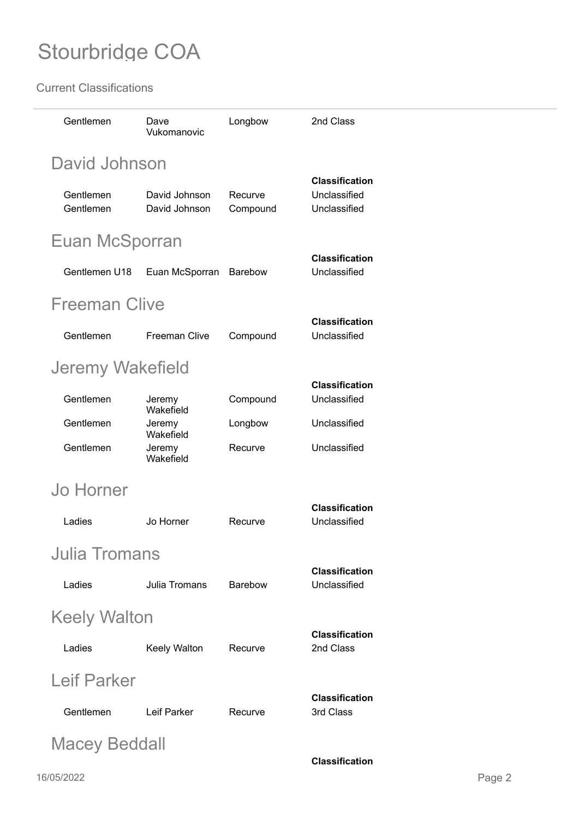| Gentlemen                                     | Dave<br>Vukomanovic            | Longbow             | 2nd Class                                             |  |
|-----------------------------------------------|--------------------------------|---------------------|-------------------------------------------------------|--|
| David Johnson                                 |                                |                     |                                                       |  |
| Gentlemen<br>Gentlemen                        | David Johnson<br>David Johnson | Recurve<br>Compound | <b>Classification</b><br>Unclassified<br>Unclassified |  |
| Euan McSporran                                |                                |                     |                                                       |  |
| Gentlemen U18                                 | Euan McSporran                 | <b>Barebow</b>      | <b>Classification</b><br>Unclassified                 |  |
| <b>Freeman Clive</b>                          |                                |                     |                                                       |  |
| Gentlemen                                     | <b>Freeman Clive</b>           | Compound            | <b>Classification</b><br>Unclassified                 |  |
| Jeremy Wakefield                              |                                |                     |                                                       |  |
| Gentlemen                                     | Jeremy<br>Wakefield            | Compound            | <b>Classification</b><br>Unclassified                 |  |
| Gentlemen                                     | Jeremy<br>Wakefield            | Longbow             | Unclassified                                          |  |
| Gentlemen                                     | Jeremy<br>Wakefield            | Recurve             | Unclassified                                          |  |
| <b>Jo Horner</b>                              |                                |                     |                                                       |  |
| Ladies                                        | Jo Horner                      | Recurve             | <b>Classification</b><br>Unclassified                 |  |
| <b>Julia Tromans</b>                          |                                |                     |                                                       |  |
| Ladies                                        | <b>Julia Tromans</b>           | <b>Barebow</b>      | <b>Classification</b><br>Unclassified                 |  |
| <b>Keely Walton</b>                           |                                |                     |                                                       |  |
| Ladies                                        | Keely Walton                   | Recurve             | <b>Classification</b><br>2nd Class                    |  |
| <b>Leif Parker</b>                            |                                |                     |                                                       |  |
| Gentlemen                                     | Leif Parker                    | Recurve             | <b>Classification</b><br>3rd Class                    |  |
| <b>Macey Beddall</b><br><b>Classification</b> |                                |                     |                                                       |  |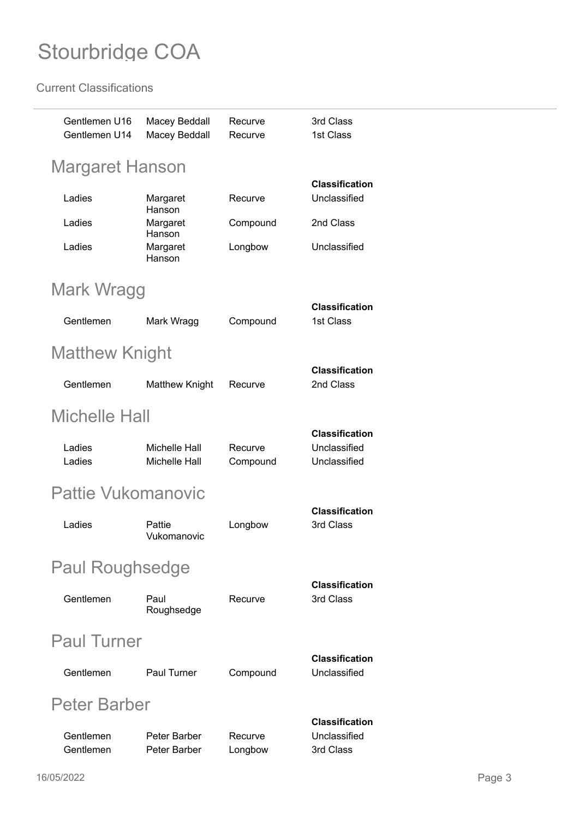| Gentlemen U16<br>Gentlemen U14 | <b>Macey Beddall</b><br>Macey Beddall | Recurve<br>Recurve  | 3rd Class<br>1st Class                                |
|--------------------------------|---------------------------------------|---------------------|-------------------------------------------------------|
| Margaret Hanson                |                                       |                     |                                                       |
| Ladies                         | Margaret                              | Recurve             | <b>Classification</b><br>Unclassified                 |
| Ladies                         | Hanson<br>Margaret                    | Compound            | 2nd Class                                             |
| Ladies                         | Hanson<br>Margaret<br>Hanson          | Longbow             | Unclassified                                          |
| Mark Wragg                     |                                       |                     |                                                       |
| Gentlemen                      | Mark Wragg                            | Compound            | <b>Classification</b><br>1st Class                    |
| <b>Matthew Knight</b>          |                                       |                     |                                                       |
| Gentlemen                      | <b>Matthew Knight</b>                 | Recurve             | <b>Classification</b><br>2nd Class                    |
| <b>Michelle Hall</b>           |                                       |                     |                                                       |
| Ladies<br>Ladies               | Michelle Hall<br><b>Michelle Hall</b> | Recurve<br>Compound | <b>Classification</b><br>Unclassified<br>Unclassified |
| Pattie Vukomanovic             |                                       |                     |                                                       |
| Ladies                         | Pattie<br>Vukomanovic                 | Longbow             | <b>Classification</b><br>3rd Class                    |
| <b>Paul Roughsedge</b>         |                                       |                     |                                                       |
| Gentlemen                      | Paul<br>Roughsedge                    | Recurve             | <b>Classification</b><br>3rd Class                    |
| <b>Paul Turner</b>             |                                       |                     |                                                       |
| Gentlemen                      | <b>Paul Turner</b>                    | Compound            | <b>Classification</b><br>Unclassified                 |
| Peter Barber                   |                                       |                     |                                                       |
| Gentlemen<br>Gentlemen         | Peter Barber<br>Peter Barber          | Recurve<br>Longbow  | <b>Classification</b><br>Unclassified<br>3rd Class    |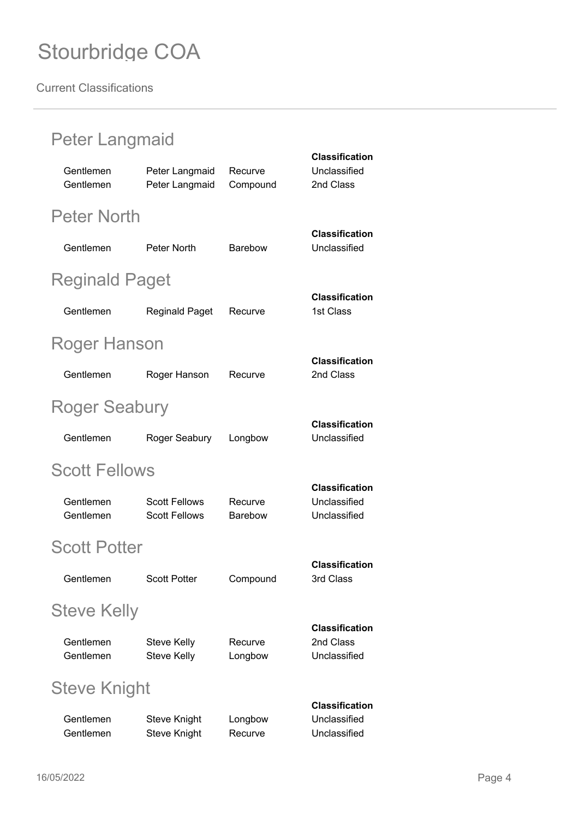| Peter Langmaid         |                                              |                     |                                                       |
|------------------------|----------------------------------------------|---------------------|-------------------------------------------------------|
| Gentlemen<br>Gentlemen | Peter Langmaid<br>Peter Langmaid             | Recurve<br>Compound | <b>Classification</b><br>Unclassified<br>2nd Class    |
| <b>Peter North</b>     |                                              |                     |                                                       |
| Gentlemen              | <b>Peter North</b>                           | <b>Barebow</b>      | <b>Classification</b><br>Unclassified                 |
| <b>Reginald Paget</b>  |                                              |                     |                                                       |
| Gentlemen              | <b>Reginald Paget</b>                        | Recurve             | <b>Classification</b><br>1st Class                    |
| Roger Hanson           |                                              |                     |                                                       |
| Gentlemen              | Roger Hanson                                 | Recurve             | <b>Classification</b><br>2nd Class                    |
| Roger Seabury          |                                              |                     |                                                       |
| Gentlemen              | Roger Seabury                                | Longbow             | <b>Classification</b><br>Unclassified                 |
| <b>Scott Fellows</b>   |                                              |                     |                                                       |
| Gentlemen<br>Gentlemen | <b>Scott Fellows</b><br><b>Scott Fellows</b> | Recurve<br>Barebow  | <b>Classification</b><br>Unclassified<br>Unclassified |
| <b>Scott Potter</b>    |                                              |                     |                                                       |
| Gentlemen              | <b>Scott Potter</b>                          | Compound            | <b>Classification</b><br>3rd Class                    |
| <b>Steve Kelly</b>     |                                              |                     |                                                       |
| Gentlemen<br>Gentlemen | <b>Steve Kelly</b><br><b>Steve Kelly</b>     | Recurve<br>Longbow  | <b>Classification</b><br>2nd Class<br>Unclassified    |
| Steve Knight           |                                              |                     |                                                       |
| Gentlemen<br>Gentlemen | <b>Steve Knight</b><br>Steve Knight          | Longbow<br>Recurve  | <b>Classification</b><br>Unclassified<br>Unclassified |